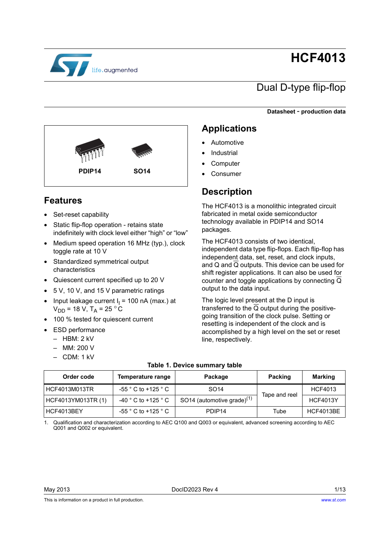

# **HCF4013**

## Dual D-type flip-flop

**Datasheet** - **production data**



### <span id="page-0-0"></span>**Features**

- Set-reset capability
- Static flip-flop operation retains state indefinitely with clock level either "high" or "low"
- Medium speed operation 16 MHz (typ.), clock toggle rate at 10 V
- Standardized symmetrical output characteristics
- Quiescent current specified up to 20 V
- 5 V, 10 V, and 15 V parametric ratings
- Input leakage current  $I_1$  = 100 nA (max.) at  $V_{DD}$  = 18 V, T<sub>A</sub> = 25 °C
- 100 % tested for quiescent current
- ESD performance
	- $-$  HBM: 2 kV
	- MM: 200 V
	- CDM: 1 kV

### <span id="page-0-1"></span>**Applications**

- **Automotive**
- **Industrial**
- **Computer**
- **Consumer**

### **Description**

The HCF4013 is a monolithic integrated circuit fabricated in metal oxide semiconductor technology available in PDIP14 and SO14 packages.

The HCF4013 consists of two identical, independent data type flip-flops. Each flip-flop has independent data, set, reset, and clock inputs, and Q and Q outputs. This device can be used for shift register applications. It can also be used for counter and toggle applications by connecting Q output to the data input.

The logic level present at the D input is transferred to the Q output during the positivegoing transition of the clock pulse. Setting or resetting is independent of the clock and is accomplished by a high level on the set or reset line, respectively.

<span id="page-0-2"></span>

| Order code         | Temperature range                       | Package                                | <b>Packing</b> | <b>Marking</b>   |
|--------------------|-----------------------------------------|----------------------------------------|----------------|------------------|
| HCF4013M013TR      | $-55$ $^{\circ}$ C to +125 $^{\circ}$ C | SO <sub>14</sub>                       | Tape and reel  | <b>HCF4013</b>   |
| HCF4013YM013TR (1) | $-40$ $^{\circ}$ C to +125 $^{\circ}$ C | SO14 (automotive grade) <sup>(1)</sup> |                | <b>HCF4013Y</b>  |
| HCF4013BEY         | -55 ° C to +125 ° C                     | PDIP <sub>14</sub>                     | Tube           | <b>HCF4013BE</b> |

#### **Table 1. Device summary table**

1. Qualification and characterization according to AEC Q100 and Q003 or equivalent, advanced screening according to AEC Q001 and Q002 or equivalent.

This is information on a product in full production.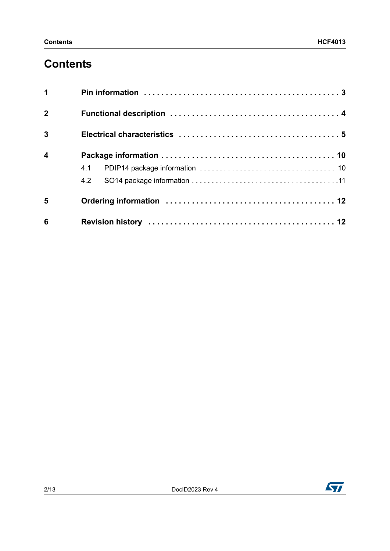## **Contents**

| $\mathbf 1$             |     |
|-------------------------|-----|
| $\overline{2}$          |     |
| $\overline{3}$          |     |
| $\overline{\mathbf{4}}$ |     |
|                         |     |
|                         | 4.2 |
| 5                       |     |
| 6                       |     |

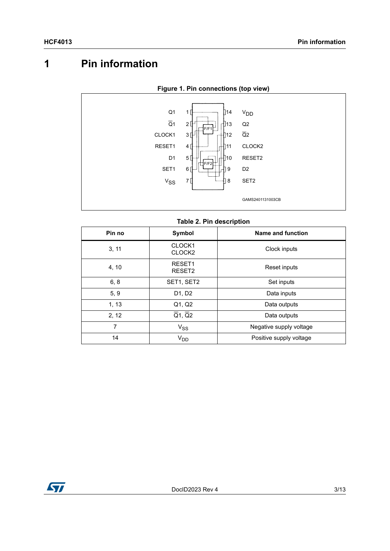## <span id="page-2-0"></span>**1 Pin information**



#### **Figure 1. Pin connections (top view)**

#### **Table 2. Pin description**

| Pin no | <b>Symbol</b>                      | Name and function       |
|--------|------------------------------------|-------------------------|
| 3, 11  | CLOCK1<br>CLOCK <sub>2</sub>       | Clock inputs            |
| 4, 10  | RESET1<br>RESET2                   | Reset inputs            |
| 6, 8   | SET1, SET2                         | Set inputs              |
| 5, 9   | D1, D2                             | Data inputs             |
| 1, 13  | Q1, Q2                             | Data outputs            |
| 2, 12  | $\overline{Q}$ 1, $\overline{Q}$ 2 | Data outputs            |
| 7      | $V_{SS}$                           | Negative supply voltage |
| 14     | V <sub>DD</sub>                    | Positive supply voltage |

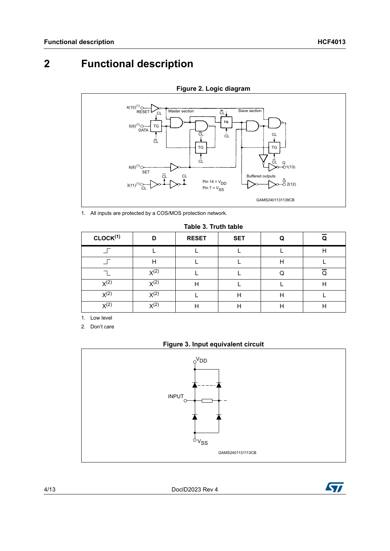## <span id="page-3-0"></span>**2 Functional description**



**Figure 2. Logic diagram**

1. All inputs are protected by a COS/MOS protection network.

|  | Table 3. Truth table |  |  |  |
|--|----------------------|--|--|--|
|--|----------------------|--|--|--|

| CLOCK <sup>(1)</sup> | D                | <b>RESET</b> | <b>SET</b> |   |   |
|----------------------|------------------|--------------|------------|---|---|
|                      |                  |              |            |   | Н |
|                      | Н                |              |            | Н |   |
|                      | $X^{(2)}$        |              |            |   |   |
| $X^{(2)}$            | $X^{(2)}$        | H            |            |   | Н |
| $X^{(2)}$            | $X^{(2)}$        |              | Н          | Н |   |
| $X^{(2)}$            | X <sup>(2)</sup> | H            | Н          | Н | Н |

1. Low level

<span id="page-3-1"></span>2. Don't care





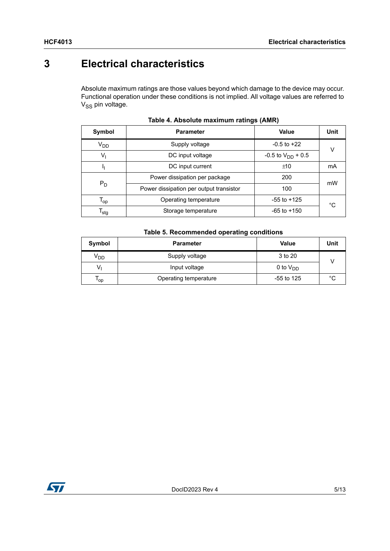$\sqrt{ }$ 

### <span id="page-4-0"></span>**3 Electrical characteristics**

Absolute maximum ratings are those values beyond which damage to the device may occur. Functional operation under these conditions is not implied. All voltage values are referred to  $V_{SS}$  pin voltage.

| Symbol                      | <b>Parameter</b>                        | Value                    | Unit |  |
|-----------------------------|-----------------------------------------|--------------------------|------|--|
| V <sub>DD</sub>             | Supply voltage                          | $-0.5$ to $+22$          | v    |  |
| $V_{1}$                     | DC input voltage                        | $-0.5$ to $V_{DD}$ + 0.5 |      |  |
|                             | DC input current                        | ±10                      | mA   |  |
|                             | Power dissipation per package           | 200                      | mW   |  |
| $P_D$                       | Power dissipation per output transistor | 100                      |      |  |
| $\mathsf{T}_{\mathsf{op}}$  | Operating temperature                   | $-55$ to $+125$          | °C   |  |
| $\mathsf{T}_{\mathsf{stg}}$ | Storage temperature                     | $-65$ to $+150$          |      |  |

| Table 4. Absolute maximum ratings (AMR) |  |  |  |  |
|-----------------------------------------|--|--|--|--|
|-----------------------------------------|--|--|--|--|

### **Table 5. Recommended operating conditions Symbol Parameter Value Unit**

| OVIIIDOL        | <b>Parameter</b>      | value         | unu    |
|-----------------|-----------------------|---------------|--------|
| V <sub>DD</sub> | Supply voltage        | 3 to 20       |        |
|                 | Input voltage         | 0 to $V_{DD}$ |        |
| ' op            | Operating temperature | -55 to 125    | $\sim$ |

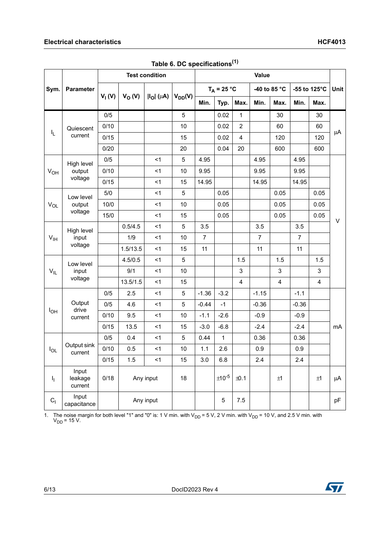|                          |                             |          | <b>Test condition</b><br><b>Value</b> |                                        |             |                |               |                |                |                |              |                |      |
|--------------------------|-----------------------------|----------|---------------------------------------|----------------------------------------|-------------|----------------|---------------|----------------|----------------|----------------|--------------|----------------|------|
| Sym.<br><b>Parameter</b> |                             |          |                                       |                                        |             | $T_A = 25 °C$  |               |                | -40 to 85 °C   |                | -55 to 125°C |                | Unit |
|                          |                             | $V_1(V)$ | $V_O(V)$                              | $\left I_{\text{O}}\right $ ( $\mu$ A) | $V_{DD}(V)$ | Min.           | Typ.          | Max.           | Min.           | Max.           | Min.         | Max.           |      |
|                          |                             | 0/5      |                                       |                                        | $\sqrt{5}$  |                | 0.02          | $\mathbf{1}$   |                | 30             |              | 30             |      |
|                          | Quiescent                   | 0/10     |                                       |                                        | 10          |                | 0.02          | $\overline{2}$ |                | 60             |              | 60             |      |
| $\mathsf{I}_\mathsf{L}$  | current                     | 0/15     |                                       |                                        | 15          |                | 0.02          | 4              |                | 120            |              | 120            | μA   |
|                          |                             | 0/20     |                                       |                                        | 20          |                | 0.04          | 20             |                | 600            |              | 600            |      |
|                          | High level                  | 0/5      |                                       | < 1                                    | 5           | 4.95           |               |                | 4.95           |                | 4.95         |                |      |
| $V_{OH}$                 | output                      | 0/10     |                                       | $\leq$ 1                               | 10          | 9.95           |               |                | 9.95           |                | 9.95         |                |      |
|                          | voltage                     | 0/15     |                                       | $<$ 1                                  | 15          | 14.95          |               |                | 14.95          |                | 14.95        |                |      |
|                          | Low level                   | 5/0      |                                       | $<$ 1                                  | 5           |                | 0.05          |                |                | 0.05           |              | 0.05           |      |
| $V_{OL}$                 | output                      | 10/0     |                                       | $<$ 1                                  | 10          |                | 0.05          |                |                | 0.05           |              | 0.05           |      |
|                          | voltage                     | 15/0     |                                       | $<$ 1                                  | 15          |                | 0.05          |                |                | 0.05           |              | 0.05           |      |
|                          | High level                  |          | 0.5/4.5                               | $<$ 1                                  | 5           | 3.5            |               |                | 3.5            |                | 3.5          |                | V    |
| V <sub>IH</sub>          | input                       |          | 1/9                                   | $<$ 1                                  | 10          | $\overline{7}$ |               |                | $\overline{7}$ |                | 7            |                |      |
|                          | voltage                     |          | 1.5/13.5                              | $<$ 1                                  | 15          | 11             |               |                | 11             |                | 11           |                |      |
|                          | Low level                   |          | 4.5/0.5                               | $<$ 1                                  | $\sqrt{5}$  |                |               | 1.5            |                | 1.5            |              | 1.5            |      |
| $V_{IL}$                 | input                       |          | 9/1                                   | < 1                                    | 10          |                |               | 3              |                | $\mathsf 3$    |              | 3              |      |
|                          | voltage                     |          | 13.5/1.5                              | $<$ 1                                  | 15          |                |               | 4              |                | $\overline{4}$ |              | $\overline{4}$ |      |
|                          |                             | 0/5      | 2.5                                   | $<$ 1                                  | 5           | $-1.36$        | $-3.2$        |                | $-1.15$        |                | $-1.1$       |                |      |
|                          | Output                      | 0/5      | 4.6                                   | <1                                     | 5           | $-0.44$        | $-1$          |                | $-0.36$        |                | $-0.36$      |                |      |
| $I_{OH}$                 | drive<br>current            | 0/10     | 9.5                                   | $<$ 1                                  | 10          | $-1.1$         | $-2.6$        |                | $-0.9$         |                | $-0.9$       |                |      |
|                          |                             | 0/15     | 13.5                                  | < 1                                    | 15          | $-3.0$         | $-6.8$        |                | $-2.4$         |                | $-2.4$       |                | mA   |
|                          |                             | 0/5      | 0.4                                   | $<$ 1                                  | 5           | 0.44           | $\mathbf{1}$  |                | 0.36           |                | 0.36         |                |      |
| $I_{OL}$                 | Output sink<br>current      | 0/10     | 0.5                                   | $<$ 1                                  | 10          | 1.1            | 2.6           |                | 0.9            |                | 0.9          |                |      |
|                          |                             | 0/15     | 1.5                                   | $<$ 1                                  | 15          | 3.0            | 6.8           |                | 2.4            |                | 2.4          |                |      |
| ı,                       | Input<br>leakage<br>current | 0/18     |                                       | Any input                              | 18          |                | $\pm 10^{-5}$ | ±0.1           |                | ±1             |              | ±1             | μA   |
| $C_{1}$                  | Input<br>capacitance        |          |                                       | Any input                              |             |                | 5             | 7.5            |                |                |              |                | pF   |

**Table 6. DC specifications(1)**

1. The noise margin for both level "1" and "0" is: 1 V min. with V<sub>DD</sub> = 5 V, 2 V min. with V<sub>DD</sub> = 10 V, and 2.5 V min. with V<sub>DD</sub> = 15 V.

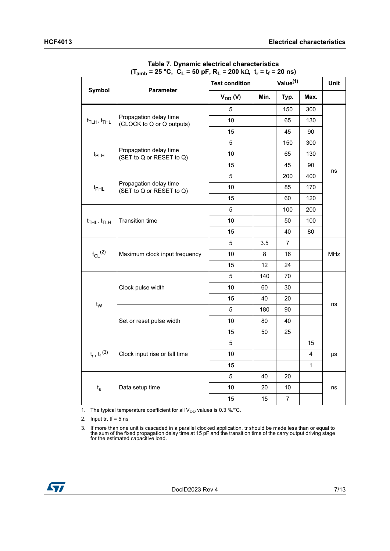<span id="page-6-0"></span>

|                                         |                                                     | <b>Test condition</b> |      | Value <sup>(1)</sup> |              |            |
|-----------------------------------------|-----------------------------------------------------|-----------------------|------|----------------------|--------------|------------|
| <b>Symbol</b>                           | <b>Parameter</b>                                    | $V_{DD} (V)$          | Min. | Typ.                 | Max.         |            |
|                                         |                                                     | 5                     |      | 150                  | 300          |            |
| $t$ TLH, $t$ THL                        | Propagation delay time<br>(CLOCK to Q or Q outputs) | 10                    |      | 65                   | 130          |            |
|                                         |                                                     | 15                    |      | 45                   | 90           |            |
|                                         |                                                     | 5                     |      | 150                  | 300          |            |
| $t_{PLH}$                               | Propagation delay time<br>(SET to Q or RESET to Q)  | 10                    |      | 65                   | 130          |            |
|                                         |                                                     | 15                    |      | 45                   | 90           |            |
|                                         |                                                     | 5                     |      | 200                  | 400          | ns         |
| t <sub>PHL</sub>                        | Propagation delay time<br>(SET to Q or RESET to Q)  | 10                    |      | 85                   | 170          |            |
|                                         |                                                     | 15                    |      | 60                   | 120          |            |
|                                         |                                                     | 5                     |      | 100                  | 200          |            |
| $t$ <sub>THL</sub> , $t$ <sub>TLH</sub> | <b>Transition time</b>                              | 10                    |      | 50                   | 100          |            |
|                                         |                                                     | 15                    |      | 40                   | 80           |            |
|                                         |                                                     | 5                     | 3.5  | $\overline{7}$       |              | <b>MHz</b> |
| $f_{CL}$ <sup>(2)</sup>                 | Maximum clock input frequency                       | 10                    | 8    | 16                   |              |            |
|                                         |                                                     | 15                    | 12   | 24                   |              |            |
|                                         |                                                     | 5                     | 140  | 70                   |              | ns         |
|                                         | Clock pulse width                                   | 10                    | 60   | 30                   |              |            |
|                                         |                                                     | 15                    | 40   | 20                   |              |            |
| $t_{\text{W}}$                          |                                                     | 5                     | 180  | 90                   |              |            |
|                                         | Set or reset pulse width                            | 10                    | 80   | 40                   |              |            |
|                                         |                                                     | 15                    | 50   | 25                   |              |            |
|                                         |                                                     | 5                     |      |                      | 15           |            |
| $t_r$ , $t_f$ <sup>(3)</sup>            | Clock input rise or fall time                       | 10                    |      |                      | 4            | μs         |
|                                         |                                                     | 15                    |      |                      | $\mathbf{1}$ |            |
|                                         |                                                     | 5                     | 40   | 20                   |              |            |
| $t_{s}$                                 | Data setup time                                     | 10                    | 20   | 10                   |              | ns         |
|                                         |                                                     | 15                    | 15   | $\overline{7}$       |              |            |

**Table 7. Dynamic electrical characteristics (Tamb = 25 °C, CL = 50 pF, RL = 200 k**Ω**, tr = tf = 20 ns)**

1. The typical temperature coefficient for all  $V_{DD}$  values is 0.3 %/°C.

2. Input tr,  $tf = 5$  ns

3. If more than one unit is cascaded in a parallel clocked application, tr should be made less than or equal to the sum of the fixed propagation delay time at 15 pF and the transition time of the carry output driving stage

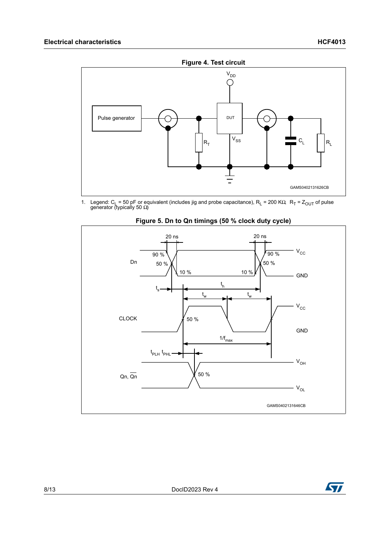

1. Legend: C<sub>L</sub> = 50 pF or equivalent (includes jig and probe capacitance), R<sub>L</sub> = 200 KΩ, R<sub>T</sub> = Z<sub>OUT</sub> of pulse generator (typically 50 Ω)



**Figure 5. Dn to Qn timings (50 % clock duty cycle)** 

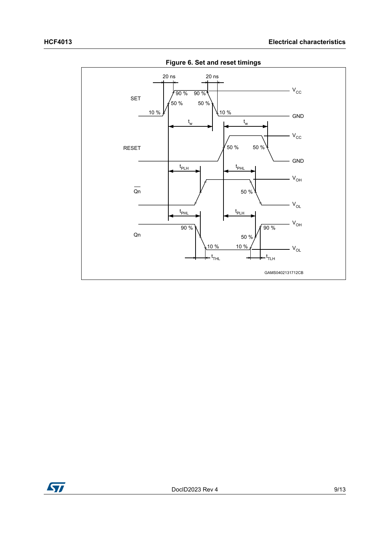

**Figure 6. Set and reset timings**

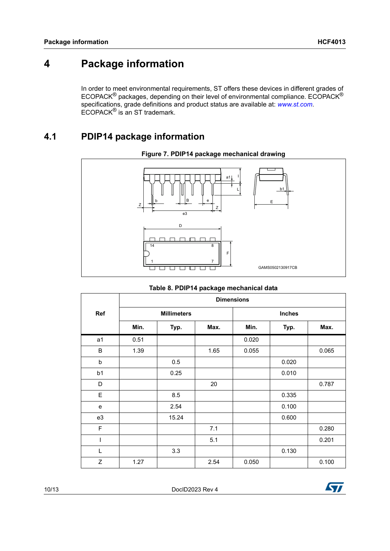### <span id="page-9-0"></span>**4 Package information**

In order to meet environmental requirements, ST offers these devices in different grades of ECOPACK® packages, depending on their level of environmental compliance. ECOPACK® specifications, grade definitions and product status are available at: *[www.st.com](http://www.st.com)*. ECOPACK® is an ST trademark.

### <span id="page-9-1"></span>**4.1 PDIP14 package information**





#### **Table 8. PDIP14 package mechanical data**

|                | <b>Dimensions</b> |                    |      |               |       |       |  |  |  |
|----------------|-------------------|--------------------|------|---------------|-------|-------|--|--|--|
| Ref            |                   | <b>Millimeters</b> |      | <b>Inches</b> |       |       |  |  |  |
|                | Min.              | Typ.               | Max. | Min.          | Typ.  | Max.  |  |  |  |
| a1             | 0.51              |                    |      | 0.020         |       |       |  |  |  |
| B              | 1.39              |                    | 1.65 | 0.055         |       | 0.065 |  |  |  |
| b              |                   | 0.5                |      |               | 0.020 |       |  |  |  |
| b <sub>1</sub> |                   | 0.25               |      |               | 0.010 |       |  |  |  |
| D              |                   |                    | 20   |               |       | 0.787 |  |  |  |
| E              |                   | 8.5                |      |               | 0.335 |       |  |  |  |
| $\mathbf e$    |                   | 2.54               |      |               | 0.100 |       |  |  |  |
| e3             |                   | 15.24              |      |               | 0.600 |       |  |  |  |
| $\mathsf F$    |                   |                    | 7.1  |               |       | 0.280 |  |  |  |
|                |                   |                    | 5.1  |               |       | 0.201 |  |  |  |
| L              |                   | 3.3                |      |               | 0.130 |       |  |  |  |
| Z              | 1.27              |                    | 2.54 | 0.050         |       | 0.100 |  |  |  |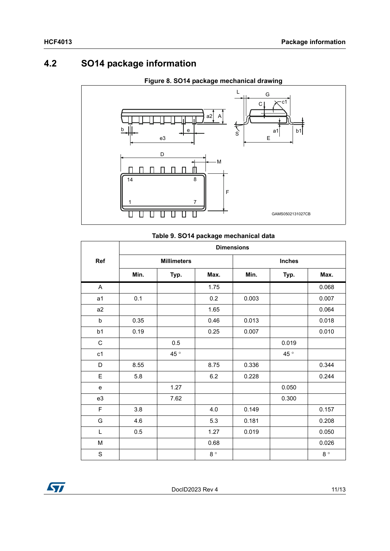### <span id="page-10-0"></span>**4.2 SO14 package information**



#### **Figure 8. SO14 package mechanical drawing**

#### **Table 9. SO14 package mechanical data**

|                |      |                    | <b>Dimensions</b> |               |       |             |  |  |
|----------------|------|--------------------|-------------------|---------------|-------|-------------|--|--|
| Ref            |      | <b>Millimeters</b> |                   | <b>Inches</b> |       |             |  |  |
|                | Min. | Typ.               | Max.              | Min.          | Typ.  | Max.        |  |  |
| A              |      |                    | 1.75              |               |       | 0.068       |  |  |
| a <sub>1</sub> | 0.1  |                    | 0.2               | 0.003         |       | 0.007       |  |  |
| a <sub>2</sub> |      |                    | 1.65              |               |       | 0.064       |  |  |
| b              | 0.35 |                    | 0.46              | 0.013         |       | 0.018       |  |  |
| b1             | 0.19 |                    | 0.25              | 0.007         |       | 0.010       |  |  |
| $\mathsf C$    |      | 0.5                |                   |               | 0.019 |             |  |  |
| c1             |      | 45°                |                   |               | 45°   |             |  |  |
| D              | 8.55 |                    | 8.75              | 0.336         |       | 0.344       |  |  |
| E              | 5.8  |                    | 6.2               | 0.228         |       | 0.244       |  |  |
| e              |      | 1.27               |                   |               | 0.050 |             |  |  |
| e3             |      | 7.62               |                   |               | 0.300 |             |  |  |
| $\mathsf F$    | 3.8  |                    | 4.0               | 0.149         |       | 0.157       |  |  |
| G              | 4.6  |                    | 5.3               | 0.181         |       | 0.208       |  |  |
| L              | 0.5  |                    | 1.27              | 0.019         |       | 0.050       |  |  |
| M              |      |                    | 0.68              |               |       | 0.026       |  |  |
| $\mathbf S$    |      |                    | $8^{\circ}$       |               |       | $8^{\circ}$ |  |  |

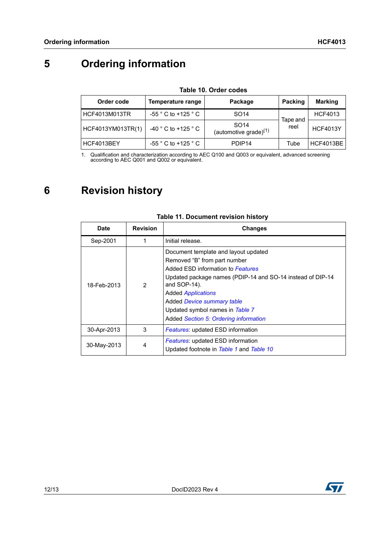## <span id="page-11-0"></span>**5 Ordering information**

#### **Table 10. Order codes**

<span id="page-11-2"></span>

| Order code        | Temperature range                       | Package                                      | Packing          | <b>Marking</b>  |
|-------------------|-----------------------------------------|----------------------------------------------|------------------|-----------------|
| HCF4013M013TR     | $-55 °$ C to +125 $°C$                  | SO <sub>14</sub>                             | Tape and<br>reel | <b>HCF4013</b>  |
| HCF4013YM013TR(1) | -40 $^{\circ}$ C to +125 $^{\circ}$ C   | SO <sub>14</sub><br>(automotive grade) $(1)$ |                  | <b>HCF4013Y</b> |
| HCF4013BEY        | $-55$ $^{\circ}$ C to +125 $^{\circ}$ C | PDIP <sub>14</sub>                           | Tube             | HCF4013BE       |

1. Qualification and characterization according to AEC Q100 and Q003 or equivalent, advanced screening according to AEC Q001 and Q002 or equivalent.

### <span id="page-11-1"></span>**6 Revision history**

| <b>Date</b> | <b>Revision</b> | <b>Changes</b>                                                                                                                                                                                                                                                                                                                 |
|-------------|-----------------|--------------------------------------------------------------------------------------------------------------------------------------------------------------------------------------------------------------------------------------------------------------------------------------------------------------------------------|
| Sep-2001    |                 | Initial release.                                                                                                                                                                                                                                                                                                               |
| 18-Feb-2013 | 2               | Document template and layout updated<br>Removed "B" from part number<br>Added ESD information to Features<br>Updated package names (PDIP-14 and SO-14 instead of DIP-14<br>and SOP-14).<br><b>Added Applications</b><br>Added Device summary table<br>Updated symbol names in Table 7<br>Added Section 5: Ordering information |
| 30-Apr-2013 | 3               | <b>Features:</b> updated ESD information                                                                                                                                                                                                                                                                                       |
| 30-May-2013 | 4               | <b>Features:</b> updated ESD information<br>Updated footnote in Table 1 and Table 10                                                                                                                                                                                                                                           |

#### **Table 11. Document revision history**